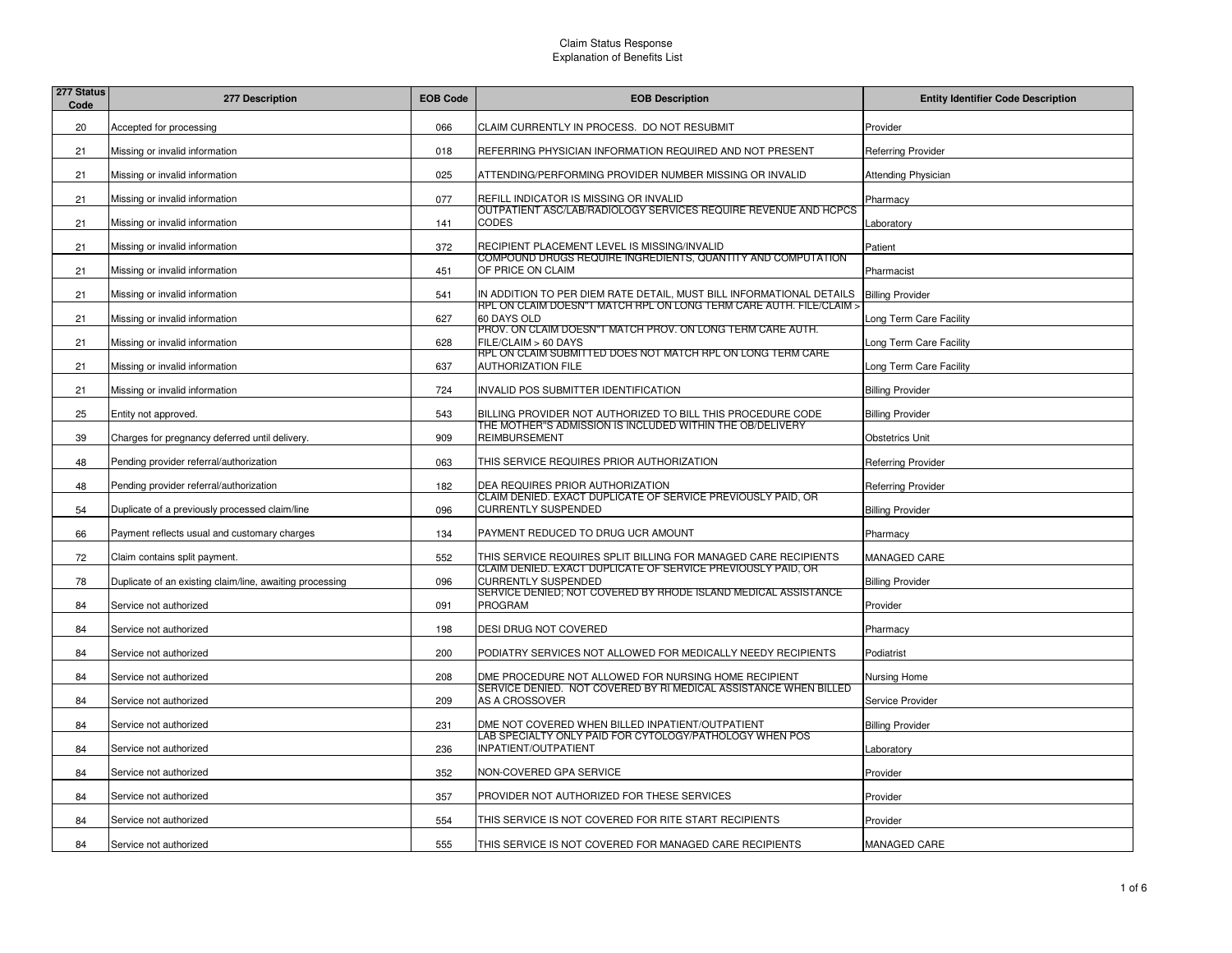| 277 Status<br>Code | 277 Description                                          | <b>EOB Code</b> | <b>EOB Description</b>                                                                     | <b>Entity Identifier Code Description</b> |
|--------------------|----------------------------------------------------------|-----------------|--------------------------------------------------------------------------------------------|-------------------------------------------|
| 20                 | Accepted for processing                                  | 066             | CLAIM CURRENTLY IN PROCESS. DO NOT RESUBMIT                                                | Provider                                  |
| 21                 | Missing or invalid information                           | 018             | REFERRING PHYSICIAN INFORMATION REQUIRED AND NOT PRESENT                                   | <b>Referring Provider</b>                 |
| 21                 | Missing or invalid information                           | 025             | ATTENDING/PERFORMING PROVIDER NUMBER MISSING OR INVALID                                    | <b>Attending Physician</b>                |
| 21                 | Missing or invalid information                           | 077             | <b>REFILL INDICATOR IS MISSING OR INVALID</b>                                              | Pharmacy                                  |
| 21                 | Missing or invalid information                           | 141             | OUTPATIENT ASC/LAB/RADIOLOGY SERVICES REQUIRE REVENUE AND HCPCS<br><b>CODES</b>            | _aboratory                                |
| 21                 | Missing or invalid information                           | 372             | RECIPIENT PLACEMENT LEVEL IS MISSING/INVALID                                               | Patient                                   |
| 21                 | Missing or invalid information                           | 451             | COMPOUND DRUGS REQUIRE INGREDIENTS, QUANTITY AND COMPUTATION<br>OF PRICE ON CLAIM          | Pharmacist                                |
| 21                 | Missing or invalid information                           | 541             | IN ADDITION TO PER DIEM RATE DETAIL, MUST BILL INFORMATIONAL DETAILS                       | <b>Billing Provider</b>                   |
| 21                 | Missing or invalid information                           | 627             | RPL ON CLAIM DOESN"T MATCH RPL ON LONG TERM CARE AUTH. FILE/CLAIM ><br>60 DAYS OLD         | Long Term Care Facility                   |
| 21                 | Missing or invalid information                           | 628             | PROV. ON CLAIM DOESN"T MATCH PROV. ON LONG TERM CARE AUTH.<br>FILE/CLAIM > 60 DAYS         | Long Term Care Facility                   |
| 21                 | Missing or invalid information                           | 637             | RPL ON CLAIM SUBMITTED DOES NOT MATCH RPL ON LONG TERM CARE<br><b>AUTHORIZATION FILE</b>   | Long Term Care Facility                   |
| 21                 | Missing or invalid information                           | 724             | INVALID POS SUBMITTER IDENTIFICATION                                                       | <b>Billing Provider</b>                   |
| 25                 | Entity not approved.                                     | 543             | BILLING PROVIDER NOT AUTHORIZED TO BILL THIS PROCEDURE CODE                                | <b>Billing Provider</b>                   |
| 39                 | Charges for pregnancy deferred until delivery.           | 909             | THE MOTHER"S ADMISSION IS INCLUDED WITHIN THE OB/DELIVERY<br><b>REIMBURSEMENT</b>          | <b>Obstetrics Unit</b>                    |
| 48                 | Pending provider referral/authorization                  | 063             | THIS SERVICE REQUIRES PRIOR AUTHORIZATION                                                  | <b>Referring Provider</b>                 |
| 48                 | Pending provider referral/authorization                  | 182             | DEA REQUIRES PRIOR AUTHORIZATION                                                           | <b>Referring Provider</b>                 |
| 54                 | Duplicate of a previously processed claim/line           | 096             | CLAIM DENIED. EXACT DUPLICATE OF SERVICE PREVIOUSLY PAID, OR<br><b>CURRENTLY SUSPENDED</b> | <b>Billing Provider</b>                   |
| 66                 | Payment reflects usual and customary charges             | 134             | PAYMENT REDUCED TO DRUG UCR AMOUNT                                                         | Pharmacy                                  |
| 72                 | Claim contains split payment.                            | 552             | THIS SERVICE REQUIRES SPLIT BILLING FOR MANAGED CARE RECIPIENTS                            | MANAGED CARE                              |
| 78                 | Duplicate of an existing claim/line, awaiting processing | 096             | CLAIM DENIED. EXACT DUPLICATE OF SERVICE PREVIOUSLY PAID, OR<br><b>CURRENTLY SUSPENDED</b> | <b>Billing Provider</b>                   |
| 84                 | Service not authorized                                   | 091             | SERVICE DENIED; NOT COVERED BY RHODE ISLAND MEDICAL ASSISTANCE<br><b>PROGRAM</b>           | Provider                                  |
| 84                 | Service not authorized                                   | 198             | DESI DRUG NOT COVERED                                                                      | Pharmacy                                  |
| 84                 | Service not authorized                                   | 200             | PODIATRY SERVICES NOT ALLOWED FOR MEDICALLY NEEDY RECIPIENTS                               | Podiatrist                                |
| 84                 | Service not authorized                                   | 208             | DME PROCEDURE NOT ALLOWED FOR NURSING HOME RECIPIENT                                       | Nursing Home                              |
| 84                 | Service not authorized                                   | 209             | SERVICE DENIED. NOT COVERED BY RI MEDICAL ASSISTANCE WHEN BILLED<br>AS A CROSSOVER         | Service Provider                          |
| 84                 | Service not authorized                                   | 231             | DME NOT COVERED WHEN BILLED INPATIENT/OUTPATIENT                                           | <b>Billing Provider</b>                   |
| 84                 | Service not authorized                                   | 236             | LAB SPECIALTY ONLY PAID FOR CYTOLOGY/PATHOLOGY WHEN POS<br>INPATIENT/OUTPATIENT            | Laboratory                                |
| 84                 | Service not authorized                                   | 352             | NON-COVERED GPA SERVICE                                                                    | Provider                                  |
| 84                 | Service not authorized                                   | 357             | PROVIDER NOT AUTHORIZED FOR THESE SERVICES                                                 | Provider                                  |
| 84                 | Service not authorized                                   | 554             | THIS SERVICE IS NOT COVERED FOR RITE START RECIPIENTS                                      | Provider                                  |
| 84                 | Service not authorized                                   | 555             | THIS SERVICE IS NOT COVERED FOR MANAGED CARE RECIPIENTS                                    | MANAGED CARE                              |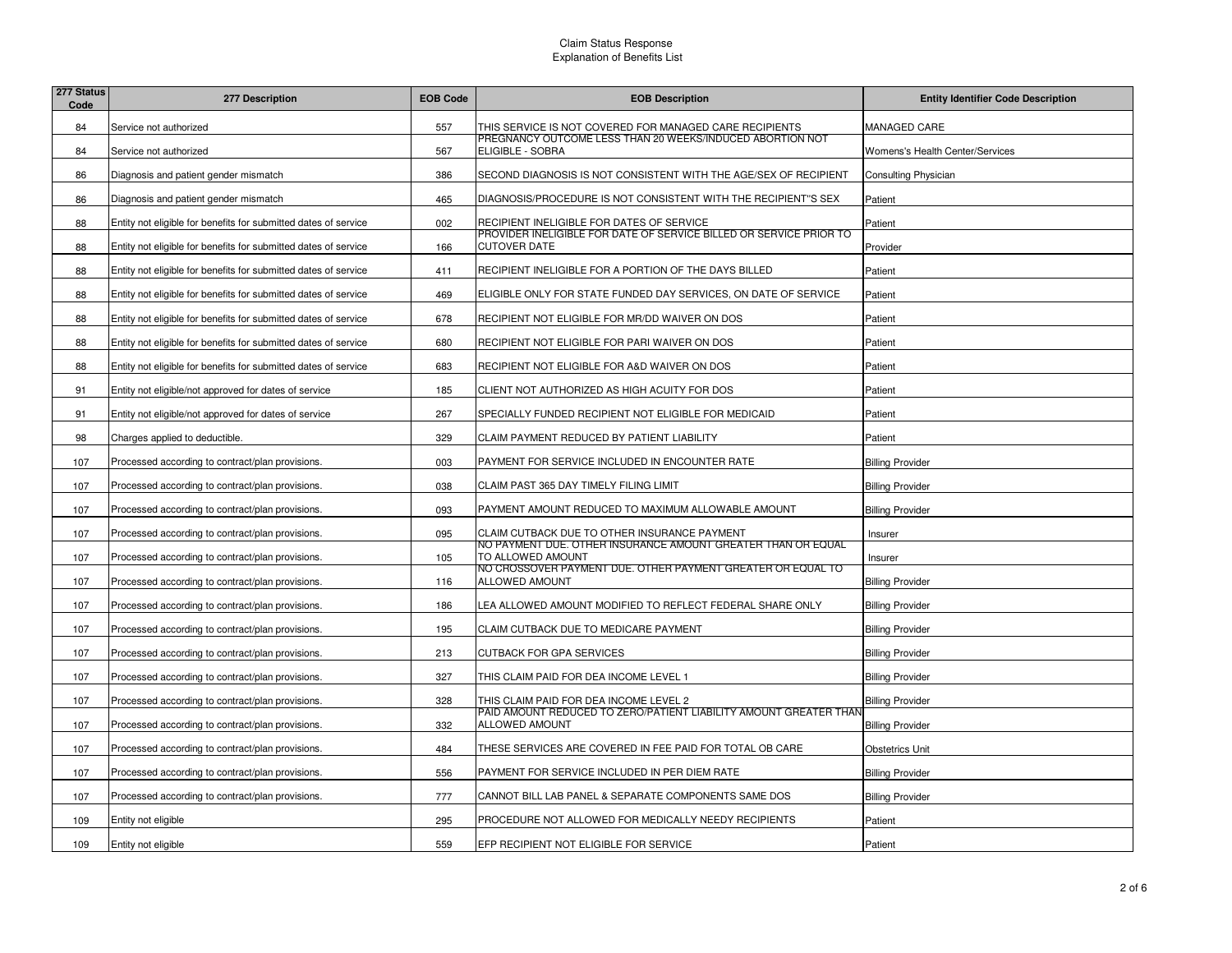| 277 Status<br>Code | 277 Description                                                 | <b>EOB Code</b> | <b>EOB Description</b>                                                                     | <b>Entity Identifier Code Description</b> |
|--------------------|-----------------------------------------------------------------|-----------------|--------------------------------------------------------------------------------------------|-------------------------------------------|
| 84                 | Service not authorized                                          | 557             | THIS SERVICE IS NOT COVERED FOR MANAGED CARE RECIPIENTS                                    | MANAGED CARE                              |
| 84                 | Service not authorized                                          | 567             | PREGNANCY OUTCOME LESS THAN 20 WEEKS/INDUCED ABORTION NOT<br>ELIGIBLE - SOBRA              | Womens's Health Center/Services           |
| 86                 | Diagnosis and patient gender mismatch                           | 386             | SECOND DIAGNOSIS IS NOT CONSISTENT WITH THE AGE/SEX OF RECIPIENT                           | Consulting Physician                      |
| 86                 | Diagnosis and patient gender mismatch                           | 465             | DIAGNOSIS/PROCEDURE IS NOT CONSISTENT WITH THE RECIPIENT"S SEX                             | Patient                                   |
| 88                 | Entity not eligible for benefits for submitted dates of service | 002             | RECIPIENT INELIGIBLE FOR DATES OF SERVICE                                                  | Patient                                   |
| 88                 | Entity not eligible for benefits for submitted dates of service | 166             | PROVIDER INELIGIBLE FOR DATE OF SERVICE BILLED OR SERVICE PRIOR TO<br><b>CUTOVER DATE</b>  | Provider                                  |
| 88                 | Entity not eligible for benefits for submitted dates of service | 411             | RECIPIENT INELIGIBLE FOR A PORTION OF THE DAYS BILLED                                      | Patient                                   |
| 88                 | Entity not eligible for benefits for submitted dates of service | 469             | ELIGIBLE ONLY FOR STATE FUNDED DAY SERVICES, ON DATE OF SERVICE                            | Patient                                   |
| 88                 | Entity not eligible for benefits for submitted dates of service | 678             | RECIPIENT NOT ELIGIBLE FOR MR/DD WAIVER ON DOS                                             | Patient                                   |
| 88                 | Entity not eligible for benefits for submitted dates of service | 680             | RECIPIENT NOT ELIGIBLE FOR PARI WAIVER ON DOS                                              | Patient                                   |
| 88                 | Entity not eligible for benefits for submitted dates of service | 683             | RECIPIENT NOT ELIGIBLE FOR A&D WAIVER ON DOS                                               | Patient                                   |
| 91                 | Entity not eligible/not approved for dates of service           | 185             | CLIENT NOT AUTHORIZED AS HIGH ACUITY FOR DOS                                               | Patient                                   |
| 91                 | Entity not eligible/not approved for dates of service           | 267             | SPECIALLY FUNDED RECIPIENT NOT ELIGIBLE FOR MEDICAID                                       | Patient                                   |
| 98                 | Charges applied to deductible.                                  | 329             | CLAIM PAYMENT REDUCED BY PATIENT LIABILITY                                                 | Patient                                   |
| 107                | Processed according to contract/plan provisions.                | 003             | PAYMENT FOR SERVICE INCLUDED IN ENCOUNTER RATE                                             | <b>Billing Provider</b>                   |
| 107                | Processed according to contract/plan provisions.                | 038             | CLAIM PAST 365 DAY TIMELY FILING LIMIT                                                     | <b>Billing Provider</b>                   |
| 107                | Processed according to contract/plan provisions.                | 093             | PAYMENT AMOUNT REDUCED TO MAXIMUM ALLOWABLE AMOUNT                                         | <b>Billing Provider</b>                   |
| 107                | Processed according to contract/plan provisions.                | 095             | CLAIM CUTBACK DUE TO OTHER INSURANCE PAYMENT                                               | Insurer                                   |
| 107                | Processed according to contract/plan provisions.                | 105             | <u>NO PAYMENT DUE. OTHER INSURANCE AMOUNT GREATER THAN OR EQUAL</u><br>TO ALLOWED AMOUNT   | Insurer                                   |
| 107                | Processed according to contract/plan provisions.                | 116             | NO CROSSOVER PAYMENT DUE. OTHER PAYMENT GREATER OR EQUAL TO<br><b>ALLOWED AMOUNT</b>       | <b>Billing Provider</b>                   |
| 107                | Processed according to contract/plan provisions.                | 186             | LEA ALLOWED AMOUNT MODIFIED TO REFLECT FEDERAL SHARE ONLY                                  | <b>Billing Provider</b>                   |
| 107                | Processed according to contract/plan provisions.                | 195             | CLAIM CUTBACK DUE TO MEDICARE PAYMENT                                                      | <b>Billing Provider</b>                   |
| 107                | Processed according to contract/plan provisions.                | 213             | <b>CUTBACK FOR GPA SERVICES</b>                                                            | <b>Billing Provider</b>                   |
| 107                | Processed according to contract/plan provisions.                | 327             | THIS CLAIM PAID FOR DEA INCOME LEVEL 1                                                     | <b>Billing Provider</b>                   |
| 107                | Processed according to contract/plan provisions.                | 328             | THIS CLAIM PAID FOR DEA INCOME LEVEL 2                                                     | <b>Billing Provider</b>                   |
| 107                | Processed according to contract/plan provisions.                | 332             | PAID AMOUNT REDUCED TO ZERO/PATIENT LIABILITY AMOUNT GREATER THAN<br><b>ALLOWED AMOUNT</b> | <b>Billing Provider</b>                   |
| 107                | Processed according to contract/plan provisions.                | 484             | THESE SERVICES ARE COVERED IN FEE PAID FOR TOTAL OB CARE                                   | <b>Obstetrics Unit</b>                    |
| 107                | Processed according to contract/plan provisions.                | 556             | PAYMENT FOR SERVICE INCLUDED IN PER DIEM RATE                                              | <b>Billing Provider</b>                   |
| 107                | Processed according to contract/plan provisions.                | 777             | CANNOT BILL LAB PANEL & SEPARATE COMPONENTS SAME DOS                                       | <b>Billing Provider</b>                   |
| 109                | Entity not eligible                                             | 295             | PROCEDURE NOT ALLOWED FOR MEDICALLY NEEDY RECIPIENTS                                       | Patient                                   |
| 109                | Entity not eligible                                             | 559             | EFP RECIPIENT NOT ELIGIBLE FOR SERVICE                                                     | Patient                                   |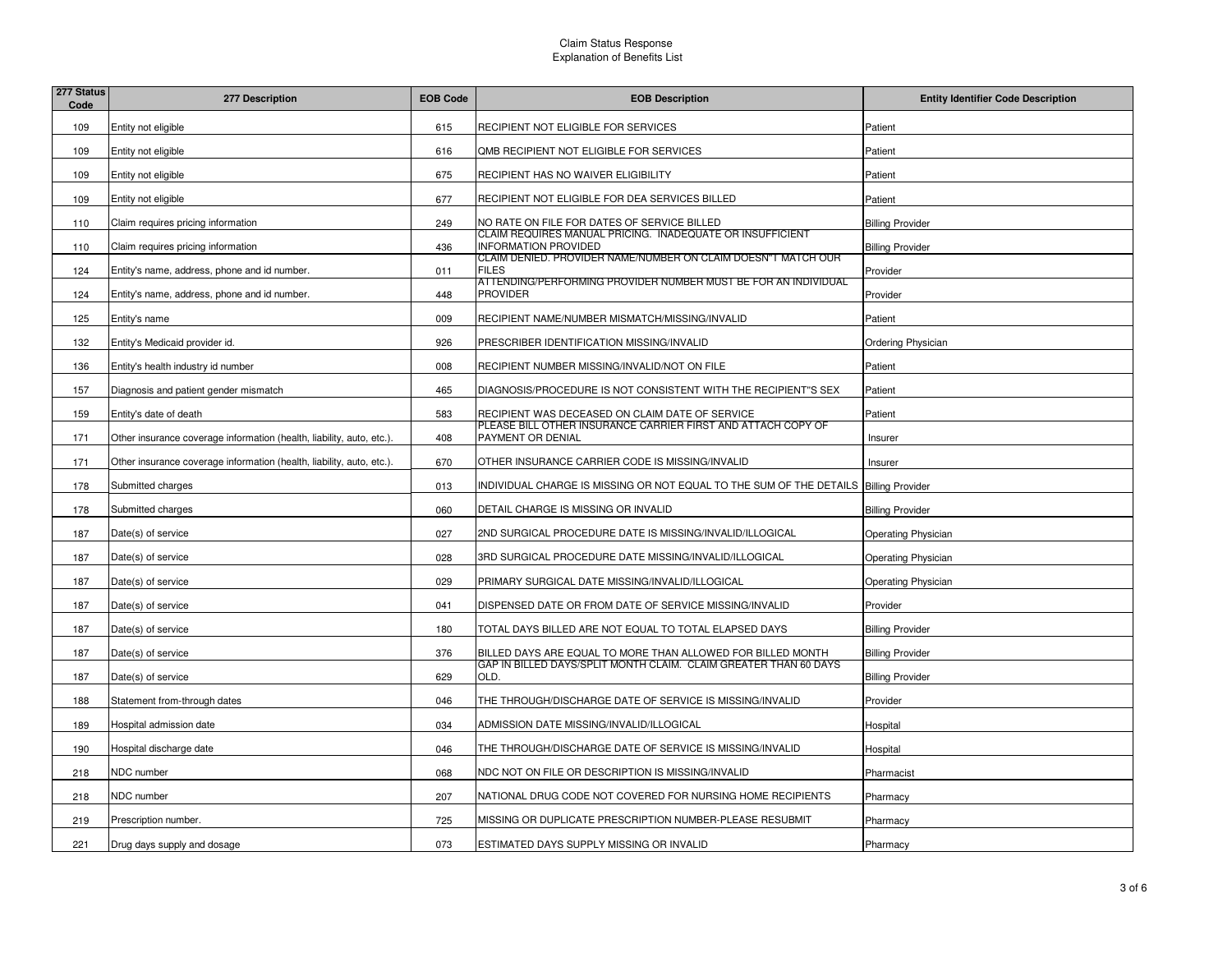| 277 Status<br>Code | 277 Description                                                       | <b>EOB Code</b> | <b>EOB Description</b>                                                                   | <b>Entity Identifier Code Description</b> |
|--------------------|-----------------------------------------------------------------------|-----------------|------------------------------------------------------------------------------------------|-------------------------------------------|
| 109                | Entity not eligible                                                   | 615             | RECIPIENT NOT ELIGIBLE FOR SERVICES                                                      | Patient                                   |
| 109                | Entity not eligible                                                   | 616             | QMB RECIPIENT NOT ELIGIBLE FOR SERVICES                                                  | Patient                                   |
| 109                | Entity not eligible                                                   | 675             | RECIPIENT HAS NO WAIVER ELIGIBILITY                                                      | Patient                                   |
| 109                | Entity not eligible                                                   | 677             | RECIPIENT NOT ELIGIBLE FOR DEA SERVICES BILLED                                           | Patient                                   |
| 110                | Claim requires pricing information                                    | 249             | NO RATE ON FILE FOR DATES OF SERVICE BILLED                                              | <b>Billing Provider</b>                   |
| 110                | Claim requires pricing information                                    | 436             | CLAIM REQUIRES MANUAL PRICING. INADEQUATE OR INSUFFICIENT<br><b>INFORMATION PROVIDED</b> | <b>Billing Provider</b>                   |
| 124                | Entity's name, address, phone and id number.                          | 011             | CLAIM DENIED. PROVIDER NAME/NUMBER ON CLAIM DOESN"T MATCH OUR<br><b>FILES</b>            | Provider                                  |
| 124                | Entity's name, address, phone and id number.                          | 448             | ATTENDING/PERFORMING PROVIDER NUMBER MUST BE FOR AN INDIVIDUAL<br><b>PROVIDER</b>        | Provider                                  |
| 125                | Entity's name                                                         | 009             | RECIPIENT NAME/NUMBER MISMATCH/MISSING/INVALID                                           | Patient                                   |
| 132                | Entity's Medicaid provider id.                                        | 926             | PRESCRIBER IDENTIFICATION MISSING/INVALID                                                | Ordering Physician                        |
| 136                | Entity's health industry id number                                    | 008             | RECIPIENT NUMBER MISSING/INVALID/NOT ON FILE                                             | Patient                                   |
| 157                | Diagnosis and patient gender mismatch                                 | 465             | DIAGNOSIS/PROCEDURE IS NOT CONSISTENT WITH THE RECIPIENT"S SEX                           | Patient                                   |
| 159                | Entity's date of death                                                | 583             | RECIPIENT WAS DECEASED ON CLAIM DATE OF SERVICE                                          | Patient                                   |
| 171                | Other insurance coverage information (health, liability, auto, etc.). | 408             | PLEASE BILL OTHER INSURANCE CARRIER FIRST AND ATTACH COPY OF<br>PAYMENT OR DENIAL        | Insurer                                   |
| 171                | Other insurance coverage information (health, liability, auto, etc.). | 670             | OTHER INSURANCE CARRIER CODE IS MISSING/INVALID                                          | Insurer                                   |
| 178                | Submitted charges                                                     | 013             | INDIVIDUAL CHARGE IS MISSING OR NOT EQUAL TO THE SUM OF THE DETAILS Billing Provider     |                                           |
| 178                | Submitted charges                                                     | 060             | DETAIL CHARGE IS MISSING OR INVALID                                                      | <b>Billing Provider</b>                   |
| 187                | Date(s) of service                                                    | 027             | 2ND SURGICAL PROCEDURE DATE IS MISSING/INVALID/ILLOGICAL                                 | <b>Operating Physician</b>                |
| 187                | Date(s) of service                                                    | 028             | 3RD SURGICAL PROCEDURE DATE MISSING/INVALID/ILLOGICAL                                    | <b>Operating Physician</b>                |
| 187                | Date(s) of service                                                    | 029             | PRIMARY SURGICAL DATE MISSING/INVALID/ILLOGICAL                                          | <b>Operating Physician</b>                |
| 187                | Date(s) of service                                                    | 041             | DISPENSED DATE OR FROM DATE OF SERVICE MISSING/INVALID                                   | Provider                                  |
| 187                | Date(s) of service                                                    | 180             | TOTAL DAYS BILLED ARE NOT EQUAL TO TOTAL ELAPSED DAYS                                    | <b>Billing Provider</b>                   |
| 187                | Date(s) of service                                                    | 376             | BILLED DAYS ARE EQUAL TO MORE THAN ALLOWED FOR BILLED MONTH                              | <b>Billing Provider</b>                   |
| 187                | Date(s) of service                                                    | 629             | GAP IN BILLED DAYS/SPLIT MONTH CLAIM. CLAIM GREATER THAN 60 DAYS<br>OLD.                 | <b>Billing Provider</b>                   |
| 188                | Statement from-through dates                                          | 046             | THE THROUGH/DISCHARGE DATE OF SERVICE IS MISSING/INVALID                                 | Provider                                  |
| 189                | Hospital admission date                                               | 034             | ADMISSION DATE MISSING/INVALID/ILLOGICAL                                                 | Hospital                                  |
| 190                | Hospital discharge date                                               | 046             | THE THROUGH/DISCHARGE DATE OF SERVICE IS MISSING/INVALID                                 | Hospital                                  |
| 218                | NDC number                                                            | 068             | NDC NOT ON FILE OR DESCRIPTION IS MISSING/INVALID                                        | Pharmacist                                |
| 218                | NDC number                                                            | 207             | NATIONAL DRUG CODE NOT COVERED FOR NURSING HOME RECIPIENTS                               | Pharmacy                                  |
| 219                | Prescription number.                                                  | 725             | MISSING OR DUPLICATE PRESCRIPTION NUMBER-PLEASE RESUBMIT                                 | Pharmacy                                  |
| 221                | Drug days supply and dosage                                           | 073             | ESTIMATED DAYS SUPPLY MISSING OR INVALID                                                 | Pharmacy                                  |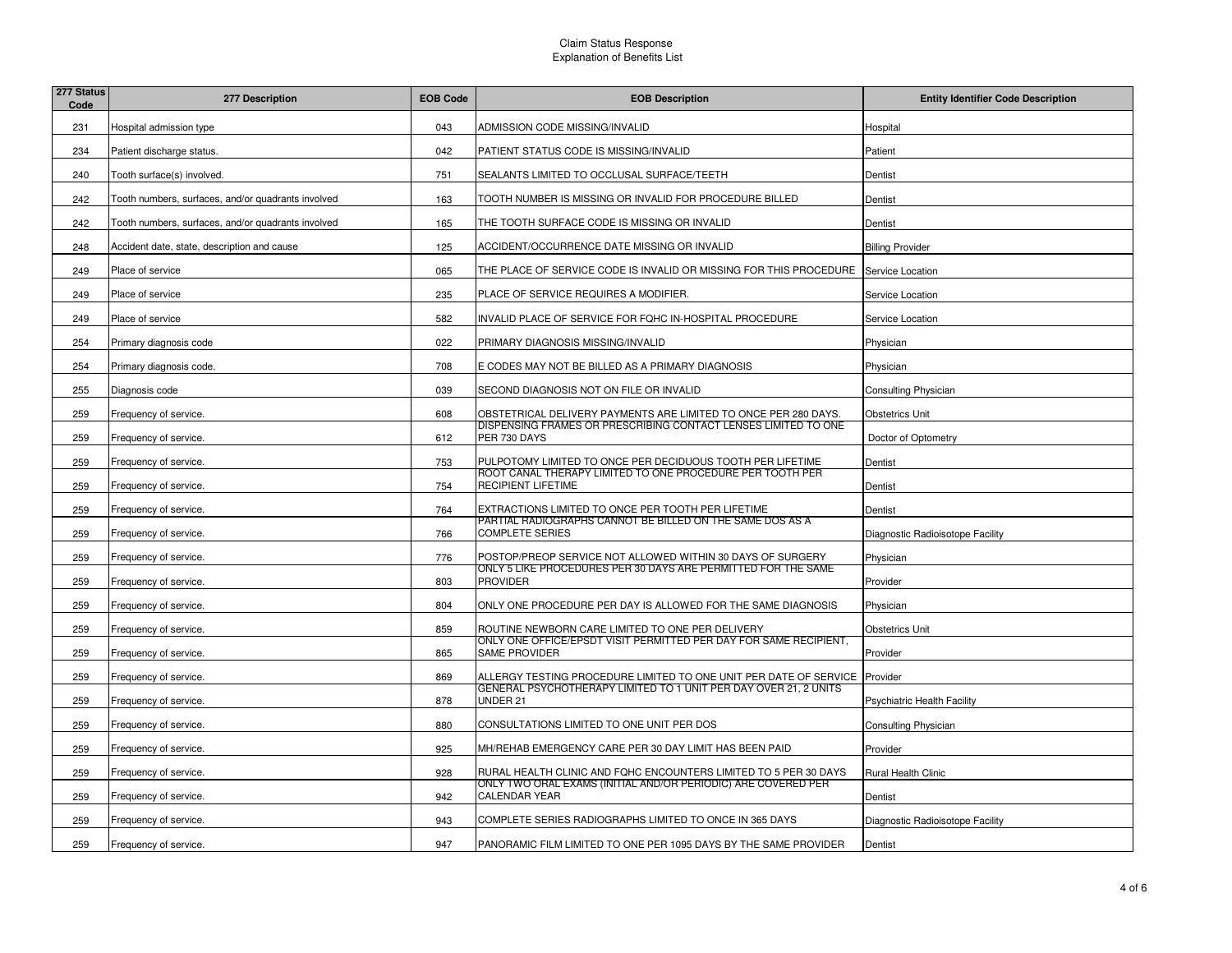| 277 Status<br>Code | 277 Description                                    | <b>EOB Code</b> | <b>EOB Description</b>                                                                    | <b>Entity Identifier Code Description</b> |
|--------------------|----------------------------------------------------|-----------------|-------------------------------------------------------------------------------------------|-------------------------------------------|
| 231                | Hospital admission type                            | 043             | ADMISSION CODE MISSING/INVALID                                                            | Hospital                                  |
| 234                | Patient discharge status.                          | 042             | PATIENT STATUS CODE IS MISSING/INVALID                                                    | Patient                                   |
| 240                | Tooth surface(s) involved.                         | 751             | SEALANTS LIMITED TO OCCLUSAL SURFACE/TEETH                                                | Dentist                                   |
| 242                | Tooth numbers, surfaces, and/or quadrants involved | 163             | TOOTH NUMBER IS MISSING OR INVALID FOR PROCEDURE BILLED                                   | Dentist                                   |
| 242                | Tooth numbers, surfaces, and/or quadrants involved | 165             | THE TOOTH SURFACE CODE IS MISSING OR INVALID                                              | Dentist                                   |
| 248                | Accident date, state, description and cause        | 125             | ACCIDENT/OCCURRENCE DATE MISSING OR INVALID                                               | <b>Billing Provider</b>                   |
| 249                | Place of service                                   | 065             | THE PLACE OF SERVICE CODE IS INVALID OR MISSING FOR THIS PROCEDURE                        | Service Location                          |
| 249                | Place of service                                   | 235             | PLACE OF SERVICE REQUIRES A MODIFIER.                                                     | Service Location                          |
| 249                | Place of service                                   | 582             | NVALID PLACE OF SERVICE FOR FQHC IN-HOSPITAL PROCEDURE                                    | Service Location                          |
| 254                | Primary diagnosis code                             | 022             | PRIMARY DIAGNOSIS MISSING/INVALID                                                         | Physician                                 |
| 254                | Primary diagnosis code.                            | 708             | E CODES MAY NOT BE BILLED AS A PRIMARY DIAGNOSIS                                          | Physician                                 |
| 255                | Diagnosis code                                     | 039             | SECOND DIAGNOSIS NOT ON FILE OR INVALID                                                   | <b>Consulting Physician</b>               |
| 259                | Frequency of service.                              | 608             | OBSTETRICAL DELIVERY PAYMENTS ARE LIMITED TO ONCE PER 280 DAYS.                           | <b>Obstetrics Unit</b>                    |
| 259                | Frequency of service.                              | 612             | DISPENSING FRAMES OR PRESCRIBING CONTACT LENSES LIMITED TO ONE<br>PER 730 DAYS            | Doctor of Optometry                       |
| 259                | Frequency of service.                              | 753             | PULPOTOMY LIMITED TO ONCE PER DECIDUOUS TOOTH PER LIFETIME                                | Dentist                                   |
| 259                | Frequency of service.                              | 754             | ROOT CANAL THERAPY LIMITED TO ONE PROCEDURE PER TOOTH PER<br><b>RECIPIENT LIFETIME</b>    | Dentist                                   |
| 259                | Frequency of service.                              | 764             | EXTRACTIONS LIMITED TO ONCE PER TOOTH PER LIFETIME                                        | Dentist                                   |
| 259                | Frequency of service.                              | 766             | PARTIAL RADIOGRAPHS CANNOT BE BILLED ON THE SAME DOS AS A<br><b>COMPLETE SERIES</b>       | Diagnostic Radioisotope Facility          |
| 259                | Frequency of service.                              | 776             | POSTOP/PREOP SERVICE NOT ALLOWED WITHIN 30 DAYS OF SURGERY                                | Physician                                 |
| 259                | Frequency of service.                              | 803             | ONLY 5 LIKE PROCEDURES PER 30 DAYS ARE PERMITTED FOR THE SAME<br><b>PROVIDER</b>          | Provider                                  |
| 259                | Frequency of service.                              | 804             | ONLY ONE PROCEDURE PER DAY IS ALLOWED FOR THE SAME DIAGNOSIS                              | Physician                                 |
| 259                | Frequency of service.                              | 859             | ROUTINE NEWBORN CARE LIMITED TO ONE PER DELIVERY                                          | <b>Obstetrics Unit</b>                    |
| 259                | Frequency of service.                              | 865             | ONLY ONE OFFICE/EPSDT VISIT PERMITTED PER DAY FOR SAME RECIPIENT,<br><b>SAME PROVIDER</b> | Provider                                  |
| 259                | Frequency of service.                              | 869             | ALLERGY TESTING PROCEDURE LIMITED TO ONE UNIT PER DATE OF SERVICE Provider                |                                           |
| 259                | Frequency of service.                              | 878             | GENERAL PSYCHOTHERAPY LIMITED TO 1 UNIT PER DAY OVER 21, 2 UNITS<br>UNDER 21              | <b>Psychiatric Health Facility</b>        |
| 259                | Frequency of service.                              | 880             | CONSULTATIONS LIMITED TO ONE UNIT PER DOS                                                 | <b>Consulting Physician</b>               |
| 259                | Frequency of service.                              | 925             | MH/REHAB EMERGENCY CARE PER 30 DAY LIMIT HAS BEEN PAID                                    | Provider                                  |
| 259                | Frequency of service.                              | 928             | RURAL HEALTH CLINIC AND FOHC ENCOUNTERS LIMITED TO 5 PER 30 DAYS                          | Rural Health Clinic                       |
| 259                | Frequency of service.                              | 942             | ONLY TWO ORAL EXAMS (INITIAL AND/OR PERIODIC) ARE COVERED PER<br><b>CALENDAR YEAR</b>     | Dentist                                   |
| 259                | Frequency of service.                              | 943             | COMPLETE SERIES RADIOGRAPHS LIMITED TO ONCE IN 365 DAYS                                   | Diagnostic Radioisotope Facility          |
| 259                | Frequency of service.                              | 947             | PANORAMIC FILM LIMITED TO ONE PER 1095 DAYS BY THE SAME PROVIDER                          | Dentist                                   |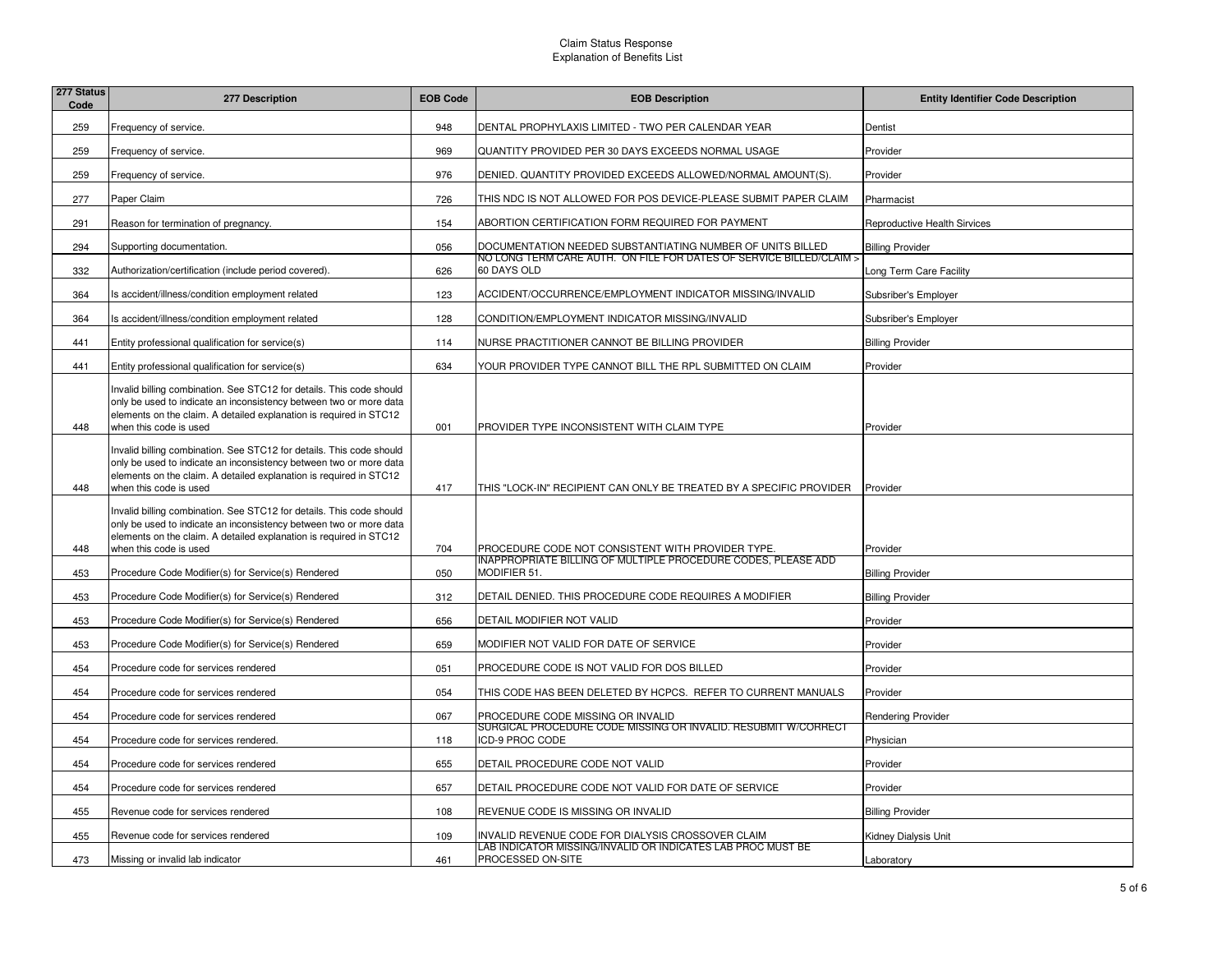| 277 Status<br>Code | 277 Description                                                                                                                                                                                                                            | <b>EOB Code</b> | <b>EOB Description</b>                                                                  | <b>Entity Identifier Code Description</b> |
|--------------------|--------------------------------------------------------------------------------------------------------------------------------------------------------------------------------------------------------------------------------------------|-----------------|-----------------------------------------------------------------------------------------|-------------------------------------------|
| 259                | Frequency of service.                                                                                                                                                                                                                      | 948             | DENTAL PROPHYLAXIS LIMITED - TWO PER CALENDAR YEAR                                      | Dentist                                   |
| 259                | Frequency of service.                                                                                                                                                                                                                      | 969             | QUANTITY PROVIDED PER 30 DAYS EXCEEDS NORMAL USAGE                                      | Provider                                  |
| 259                | Frequency of service.                                                                                                                                                                                                                      | 976             | DENIED. QUANTITY PROVIDED EXCEEDS ALLOWED/NORMAL AMOUNT(S).                             | Provider                                  |
| 277                | Paper Claim                                                                                                                                                                                                                                | 726             | THIS NDC IS NOT ALLOWED FOR POS DEVICE-PLEASE SUBMIT PAPER CLAIM                        | Pharmacist                                |
| 291                | Reason for termination of pregnancy.                                                                                                                                                                                                       | 154             | ABORTION CERTIFICATION FORM REQUIRED FOR PAYMENT                                        | <b>Reproductive Health Sirvices</b>       |
| 294                | Supporting documentation.                                                                                                                                                                                                                  | 056             | DOCUMENTATION NEEDED SUBSTANTIATING NUMBER OF UNITS BILLED                              | <b>Billing Provider</b>                   |
| 332                | Authorization/certification (include period covered).                                                                                                                                                                                      | 626             | NO LONG TERM CARE AUTH. ON FILE FOR DATES OF SERVICE BILLED/CLAIM ><br>60 DAYS OLD      | Long Term Care Facility                   |
| 364                | Is accident/illness/condition employment related                                                                                                                                                                                           | 123             | ACCIDENT/OCCURRENCE/EMPLOYMENT INDICATOR MISSING/INVALID                                | Subsriber's Employer                      |
| 364                | Is accident/illness/condition employment related                                                                                                                                                                                           | 128             | CONDITION/EMPLOYMENT INDICATOR MISSING/INVALID                                          | Subsriber's Employer                      |
| 441                | Entity professional qualification for service(s)                                                                                                                                                                                           | 114             | NURSE PRACTITIONER CANNOT BE BILLING PROVIDER                                           | <b>Billing Provider</b>                   |
| 441                | Entity professional qualification for service(s)                                                                                                                                                                                           | 634             | YOUR PROVIDER TYPE CANNOT BILL THE RPL SUBMITTED ON CLAIM                               | Provider                                  |
| 448                | Invalid billing combination. See STC12 for details. This code should<br>only be used to indicate an inconsistency between two or more data<br>elements on the claim. A detailed explanation is required in STC12<br>when this code is used | 001             | PROVIDER TYPE INCONSISTENT WITH CLAIM TYPE                                              | Provider                                  |
| 448                | Invalid billing combination. See STC12 for details. This code should<br>only be used to indicate an inconsistency between two or more data<br>elements on the claim. A detailed explanation is required in STC12<br>when this code is used | 417             | THIS "LOCK-IN" RECIPIENT CAN ONLY BE TREATED BY A SPECIFIC PROVIDER                     | Provider                                  |
| 448                | Invalid billing combination. See STC12 for details. This code should<br>only be used to indicate an inconsistency between two or more data<br>elements on the claim. A detailed explanation is required in STC12<br>when this code is used | 704             | PROCEDURE CODE NOT CONSISTENT WITH PROVIDER TYPE.                                       | Provider                                  |
| 453                | Procedure Code Modifier(s) for Service(s) Rendered                                                                                                                                                                                         | 050             | INAPPROPRIATE BILLING OF MULTIPLE PROCEDURE CODES, PLEASE ADD<br>MODIFIER 51.           | <b>Billing Provider</b>                   |
| 453                | Procedure Code Modifier(s) for Service(s) Rendered                                                                                                                                                                                         | 312             | DETAIL DENIED. THIS PROCEDURE CODE REQUIRES A MODIFIER                                  | <b>Billing Provider</b>                   |
| 453                | Procedure Code Modifier(s) for Service(s) Rendered                                                                                                                                                                                         | 656             | DETAIL MODIFIER NOT VALID                                                               | Provider                                  |
| 453                | Procedure Code Modifier(s) for Service(s) Rendered                                                                                                                                                                                         | 659             | MODIFIER NOT VALID FOR DATE OF SERVICE                                                  | Provider                                  |
| 454                | Procedure code for services rendered                                                                                                                                                                                                       | 051             | PROCEDURE CODE IS NOT VALID FOR DOS BILLED                                              | Provider                                  |
| 454                | Procedure code for services rendered                                                                                                                                                                                                       | 054             | THIS CODE HAS BEEN DELETED BY HCPCS. REFER TO CURRENT MANUALS                           | Provider                                  |
| 454                | Procedure code for services rendered                                                                                                                                                                                                       | 067             | PROCEDURE CODE MISSING OR INVALID                                                       | <b>Rendering Provider</b>                 |
| 454                | Procedure code for services rendered.                                                                                                                                                                                                      | 118             | <u>SURGICAL PROCEDURE CODE MISSING OR INVALID. RESUBMIT W/CORRECT</u><br>CD-9 PROC CODE | Physician                                 |
| 454                | Procedure code for services rendered                                                                                                                                                                                                       | 655             | DETAIL PROCEDURE CODE NOT VALID                                                         | Provider                                  |
| 454                | Procedure code for services rendered                                                                                                                                                                                                       | 657             | DETAIL PROCEDURE CODE NOT VALID FOR DATE OF SERVICE                                     | Provider                                  |
| 455                | Revenue code for services rendered                                                                                                                                                                                                         | 108             | REVENUE CODE IS MISSING OR INVALID                                                      | <b>Billing Provider</b>                   |
| 455                | Revenue code for services rendered                                                                                                                                                                                                         | 109             | NVALID REVENUE CODE FOR DIALYSIS CROSSOVER CLAIM                                        | Kidney Dialysis Unit                      |
| 473                | Missing or invalid lab indicator                                                                                                                                                                                                           | 461             | LAB INDICATOR MISSING/INVALID OR INDICATES LAB PROC MUST BE<br>PROCESSED ON-SITE        | Laboratory                                |